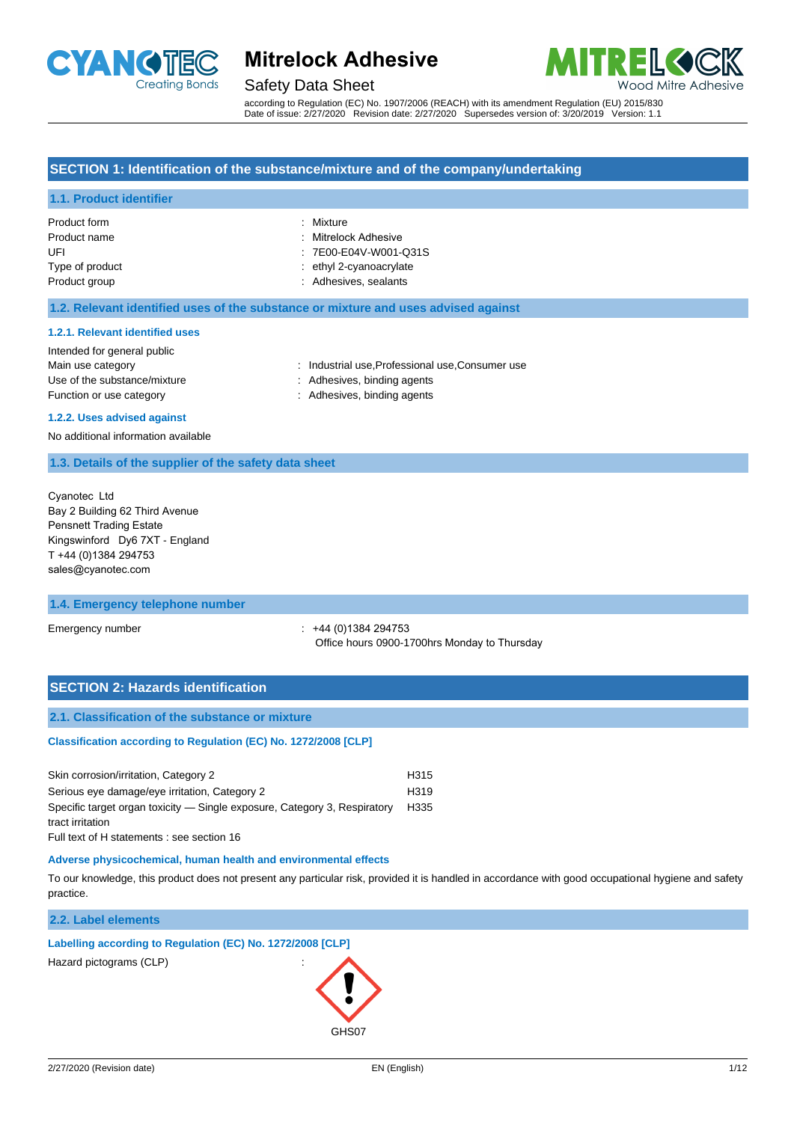

### Safety Data Sheet



according to Regulation (EC) No. 1907/2006 (REACH) with its amendment Regulation (EU) 2015/830 Date of issue: 2/27/2020 Revision date: 2/27/2020 Supersedes version of: 3/20/2019 Version: 1.1

#### **SECTION 1: Identification of the substance/mixture and of the company/undertaking**

#### **1.1. Product identifier**

| Product form    | : Mixture               |
|-----------------|-------------------------|
| Product name    | : Mitrelock Adhesive    |
| UFL             | : 7E00-E04V-W001-Q31S   |
| Type of product | : ethyl 2-cyanoacrylate |
| Product group   | : Adhesives, sealants   |
|                 |                         |

#### **1.2. Relevant identified uses of the substance or mixture and uses advised against**

#### **1.2.1. Relevant identified uses**

| Intended for general public  |                                                |
|------------------------------|------------------------------------------------|
| Main use category            | : Industrial use.Professional use.Consumer use |
| Use of the substance/mixture | : Adhesives, binding agents                    |
| Function or use category     | : Adhesives, binding agents                    |

#### **1.2.2. Uses advised against**

No additional information available

#### **1.3. Details of the supplier of the safety data sheet**

Cyanotec Ltd Bay 2 Building 62 Third Avenue Pensnett Trading Estate Kingswinford Dy6 7XT - England T +44 (0)1384 294753 [sales@cyanotec.com](mailto:mail@cartell-uk.com)

#### **1.4. Emergency telephone number**

Emergency number : +44 (0)1384 294753 Office hours 0900-1700hrs Monday to Thursday

#### **SECTION 2: Hazards identification**

#### **2.1. Classification of the substance or mixture**

**Classification according to Regulation (EC) No. 1272/2008 [CLP]** 

| Skin corrosion/irritation, Category 2                                     | H <sub>315</sub> |
|---------------------------------------------------------------------------|------------------|
| Serious eye damage/eye irritation, Category 2                             | H <sub>319</sub> |
| Specific target organ toxicity — Single exposure, Category 3, Respiratory | H335             |
| tract irritation                                                          |                  |
|                                                                           |                  |

Full text of H statements : see section 16

#### **Adverse physicochemical, human health and environmental effects**

To our knowledge, this product does not present any particular risk, provided it is handled in accordance with good occupational hygiene and safety practice.

#### **2.2. Label elements**

#### **Labelling according to Regulation (EC) No. 1272/2008 [CLP]**

Hazard pictograms (CLP) :

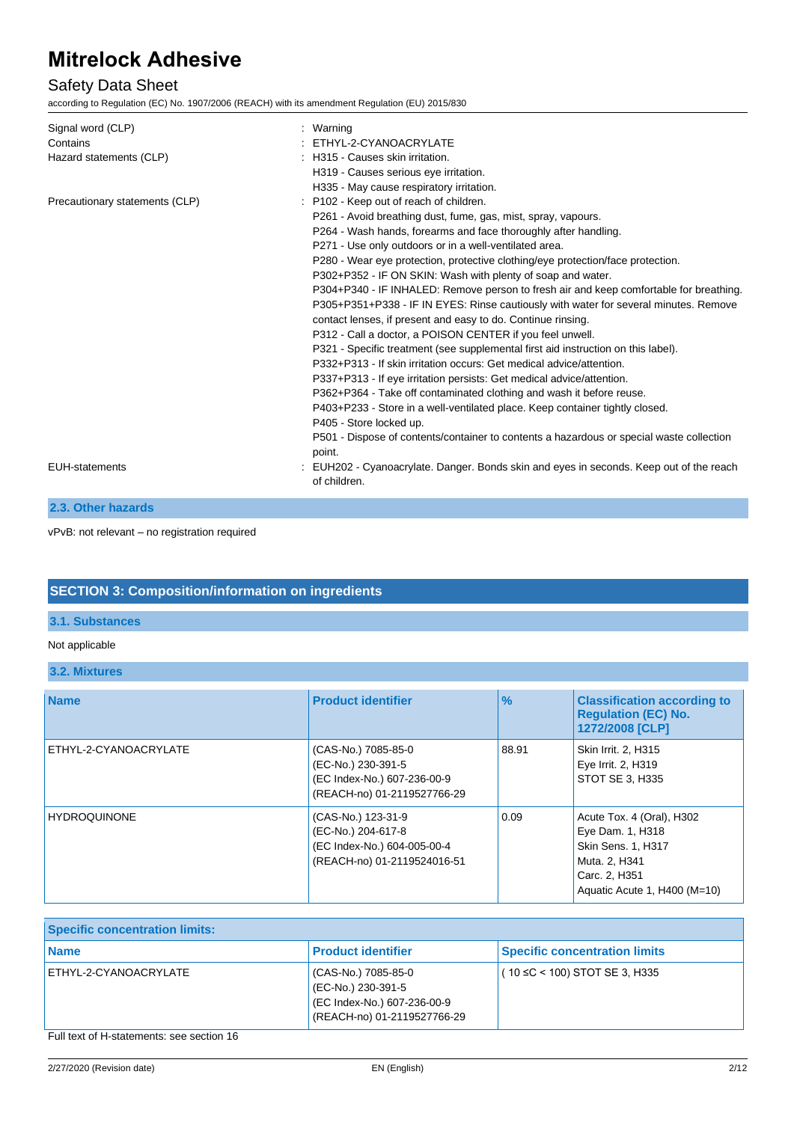## Safety Data Sheet

according to Regulation (EC) No. 1907/2006 (REACH) with its amendment Regulation (EU) 2015/830

| Signal word (CLP)<br>Contains<br>Hazard statements (CLP) | Warning<br>: ETHYL-2-CYANOACRYLATE<br>: H315 - Causes skin irritation.<br>H319 - Causes serious eye irritation.<br>H335 - May cause respiratory irritation.                                                                                                                                                                                                                                                                                                                                                                                                                                                                                                                                                                                                                                                                                                                                                                                                                                                                                                                                                                                                                                                                           |
|----------------------------------------------------------|---------------------------------------------------------------------------------------------------------------------------------------------------------------------------------------------------------------------------------------------------------------------------------------------------------------------------------------------------------------------------------------------------------------------------------------------------------------------------------------------------------------------------------------------------------------------------------------------------------------------------------------------------------------------------------------------------------------------------------------------------------------------------------------------------------------------------------------------------------------------------------------------------------------------------------------------------------------------------------------------------------------------------------------------------------------------------------------------------------------------------------------------------------------------------------------------------------------------------------------|
| Precautionary statements (CLP)                           | : P102 - Keep out of reach of children.<br>P261 - Avoid breathing dust, fume, gas, mist, spray, vapours.<br>P264 - Wash hands, forearms and face thoroughly after handling.<br>P271 - Use only outdoors or in a well-ventilated area.<br>P280 - Wear eye protection, protective clothing/eye protection/face protection.<br>P302+P352 - IF ON SKIN: Wash with plenty of soap and water.<br>P304+P340 - IF INHALED: Remove person to fresh air and keep comfortable for breathing.<br>P305+P351+P338 - IF IN EYES: Rinse cautiously with water for several minutes. Remove<br>contact lenses, if present and easy to do. Continue rinsing.<br>P312 - Call a doctor, a POISON CENTER if you feel unwell.<br>P321 - Specific treatment (see supplemental first aid instruction on this label).<br>P332+P313 - If skin irritation occurs: Get medical advice/attention.<br>P337+P313 - If eye irritation persists: Get medical advice/attention.<br>P362+P364 - Take off contaminated clothing and wash it before reuse.<br>P403+P233 - Store in a well-ventilated place. Keep container tightly closed.<br>P405 - Store locked up.<br>P501 - Dispose of contents/container to contents a hazardous or special waste collection<br>point. |
| <b>EUH-statements</b>                                    | EUH202 - Cyanoacrylate. Danger. Bonds skin and eyes in seconds. Keep out of the reach<br>of children.                                                                                                                                                                                                                                                                                                                                                                                                                                                                                                                                                                                                                                                                                                                                                                                                                                                                                                                                                                                                                                                                                                                                 |

**2.3. Other hazards**

vPvB: not relevant – no registration required

## **SECTION 3: Composition/information on ingredients**

## **3.1. Substances**

#### Not applicable

**3.2. Mixtures**

| <b>Name</b>           | <b>Product identifier</b>                                                                               | $\frac{9}{6}$ | <b>Classification according to</b><br><b>Regulation (EC) No.</b><br>1272/2008 [CLP]                                                   |
|-----------------------|---------------------------------------------------------------------------------------------------------|---------------|---------------------------------------------------------------------------------------------------------------------------------------|
| ETHYL-2-CYANOACRYLATE | (CAS-No.) 7085-85-0<br>(EC-No.) 230-391-5<br>(EC Index-No.) 607-236-00-9<br>(REACH-no) 01-2119527766-29 | 88.91         | Skin Irrit. 2, H315<br>Eye Irrit. 2, H319<br>STOT SE 3. H335                                                                          |
| <b>HYDROQUINONE</b>   | (CAS-No.) 123-31-9<br>(EC-No.) 204-617-8<br>(EC Index-No.) 604-005-00-4<br>(REACH-no) 01-2119524016-51  | 0.09          | Acute Tox. 4 (Oral), H302<br>Eye Dam. 1, H318<br>Skin Sens. 1, H317<br>Muta. 2, H341<br>Carc. 2, H351<br>Aquatic Acute 1, H400 (M=10) |

## **Specific concentration limits:**

| <b>Name</b>                                                                    | <b>Product identifier</b>                                                                               | <b>Specific concentration limits</b> |
|--------------------------------------------------------------------------------|---------------------------------------------------------------------------------------------------------|--------------------------------------|
| ETHYL-2-CYANOACRYLATE                                                          | (CAS-No.) 7085-85-0<br>(EC-No.) 230-391-5<br>(EC Index-No.) 607-236-00-9<br>(REACH-no) 01-2119527766-29 | $(10 \le C < 100)$ STOT SE 3, H335   |
| $\Box$ all the set of the continuation of $\Box$ is a set of $\Box$ and $\Box$ |                                                                                                         |                                      |

Full text of H-statements: see section 16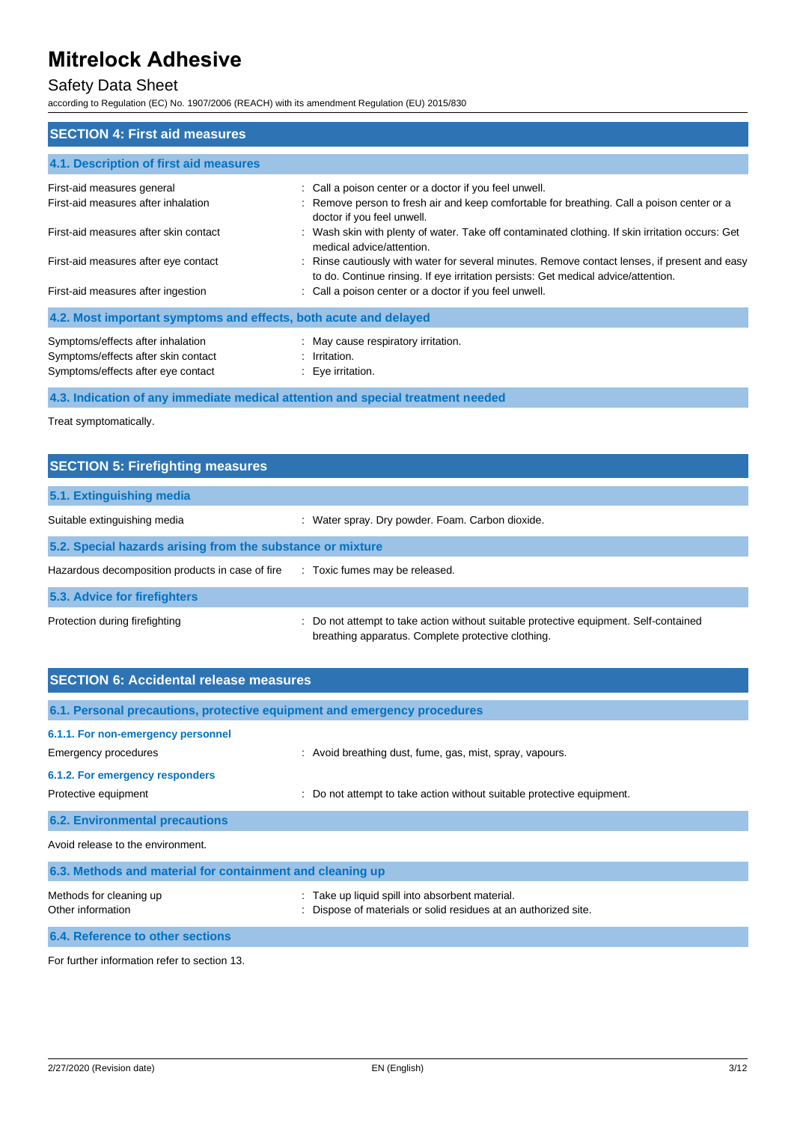## Safety Data Sheet

according to Regulation (EC) No. 1907/2006 (REACH) with its amendment Regulation (EU) 2015/830

| <b>SECTION 4: First aid measures</b>                                                                           |                                                                                                                                                                                     |  |
|----------------------------------------------------------------------------------------------------------------|-------------------------------------------------------------------------------------------------------------------------------------------------------------------------------------|--|
| 4.1. Description of first aid measures                                                                         |                                                                                                                                                                                     |  |
| First-aid measures general                                                                                     | : Call a poison center or a doctor if you feel unwell.                                                                                                                              |  |
| First-aid measures after inhalation                                                                            | : Remove person to fresh air and keep comfortable for breathing. Call a poison center or a<br>doctor if you feel unwell.                                                            |  |
| First-aid measures after skin contact                                                                          | . Wash skin with plenty of water. Take off contaminated clothing. If skin irritation occurs: Get<br>medical advice/attention.                                                       |  |
| First-aid measures after eye contact                                                                           | : Rinse cautiously with water for several minutes. Remove contact lenses, if present and easy<br>to do. Continue rinsing. If eye irritation persists: Get medical advice/attention. |  |
| First-aid measures after ingestion                                                                             | : Call a poison center or a doctor if you feel unwell.                                                                                                                              |  |
| 4.2. Most important symptoms and effects, both acute and delayed                                               |                                                                                                                                                                                     |  |
| Symptoms/effects after inhalation<br>Symptoms/effects after skin contact<br>Symptoms/effects after eye contact | : May cause respiratory irritation.<br>: Irritation.<br>: Eye irritation.                                                                                                           |  |

**4.3. Indication of any immediate medical attention and special treatment needed**

Treat symptomatically.

| <b>SECTION 5: Firefighting measures</b>                    |                                                                                                                                             |  |
|------------------------------------------------------------|---------------------------------------------------------------------------------------------------------------------------------------------|--|
| 5.1. Extinguishing media                                   |                                                                                                                                             |  |
| Suitable extinguishing media                               | : Water spray. Dry powder. Foam. Carbon dioxide.                                                                                            |  |
| 5.2. Special hazards arising from the substance or mixture |                                                                                                                                             |  |
| Hazardous decomposition products in case of fire           | : Toxic fumes may be released.                                                                                                              |  |
| 5.3. Advice for firefighters                               |                                                                                                                                             |  |
| Protection during firefighting                             | : Do not attempt to take action without suitable protective equipment. Self-contained<br>breathing apparatus. Complete protective clothing. |  |

| <b>SECTION 6: Accidental release measures</b>                            |                                                                                                                  |  |
|--------------------------------------------------------------------------|------------------------------------------------------------------------------------------------------------------|--|
| 6.1. Personal precautions, protective equipment and emergency procedures |                                                                                                                  |  |
| 6.1.1. For non-emergency personnel                                       |                                                                                                                  |  |
| Emergency procedures                                                     | : Avoid breathing dust, fume, gas, mist, spray, vapours.                                                         |  |
| 6.1.2. For emergency responders                                          |                                                                                                                  |  |
| Protective equipment                                                     | : Do not attempt to take action without suitable protective equipment.                                           |  |
| <b>6.2. Environmental precautions</b>                                    |                                                                                                                  |  |
| Avoid release to the environment.                                        |                                                                                                                  |  |
| 6.3. Methods and material for containment and cleaning up                |                                                                                                                  |  |
| Methods for cleaning up<br>Other information                             | : Take up liquid spill into absorbent material.<br>Dispose of materials or solid residues at an authorized site. |  |

**6.4. Reference to other sections**

For further information refer to section 13.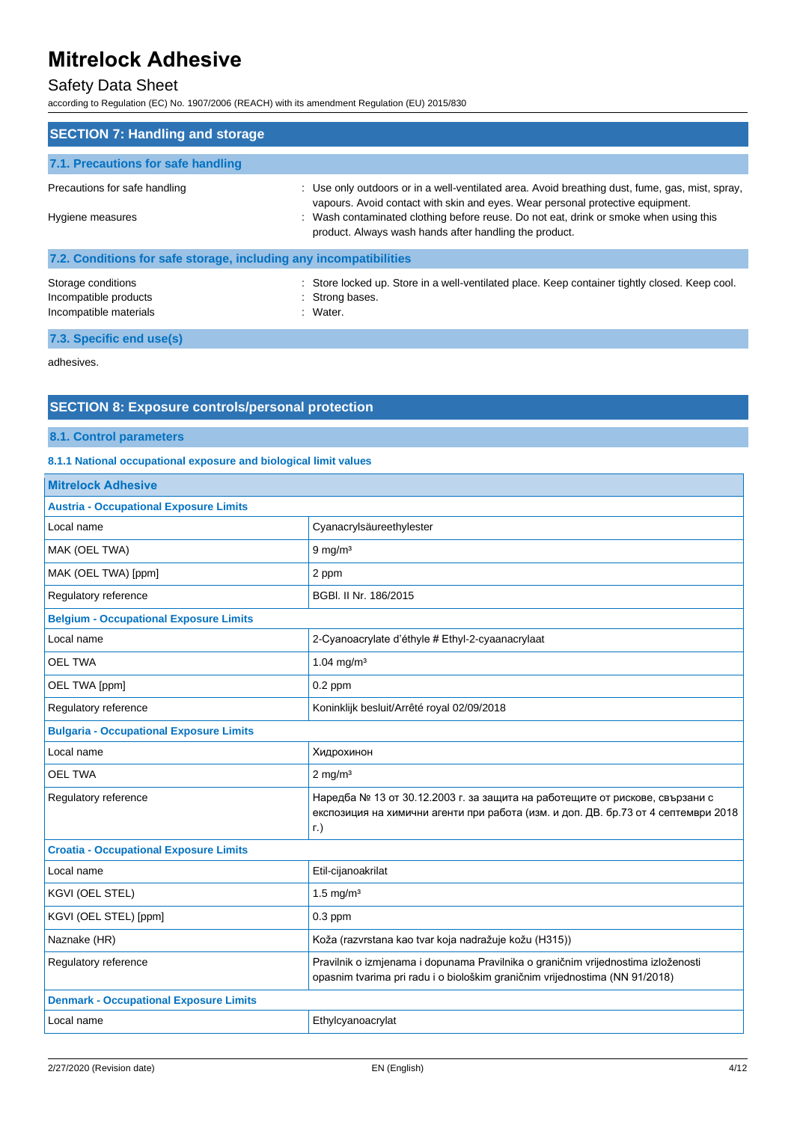## Safety Data Sheet

according to Regulation (EC) No. 1907/2006 (REACH) with its amendment Regulation (EU) 2015/830

| <b>SECTION 7: Handling and storage</b>                                |                                                                                                                                                                                                                                                                                                                                      |  |
|-----------------------------------------------------------------------|--------------------------------------------------------------------------------------------------------------------------------------------------------------------------------------------------------------------------------------------------------------------------------------------------------------------------------------|--|
| 7.1. Precautions for safe handling                                    |                                                                                                                                                                                                                                                                                                                                      |  |
| Precautions for safe handling<br>Hygiene measures                     | : Use only outdoors or in a well-ventilated area. Avoid breathing dust, fume, gas, mist, spray,<br>vapours. Avoid contact with skin and eyes. Wear personal protective equipment.<br>: Wash contaminated clothing before reuse. Do not eat, drink or smoke when using this<br>product. Always wash hands after handling the product. |  |
| 7.2. Conditions for safe storage, including any incompatibilities     |                                                                                                                                                                                                                                                                                                                                      |  |
| Storage conditions<br>Incompatible products<br>Incompatible materials | : Store locked up. Store in a well-ventilated place. Keep container tightly closed. Keep cool.<br>: Strong bases.<br>$:$ Water.                                                                                                                                                                                                      |  |

### **7.3. Specific end use(s)**

adhesives.

## **SECTION 8: Exposure controls/personal protection**

**8.1. Control parameters**

#### **8.1.1 National occupational exposure and biological limit values**

| <b>Mitrelock Adhesive</b>                      |                                                                                                                                                                                   |  |
|------------------------------------------------|-----------------------------------------------------------------------------------------------------------------------------------------------------------------------------------|--|
| <b>Austria - Occupational Exposure Limits</b>  |                                                                                                                                                                                   |  |
| Local name                                     | Cyanacrylsäureethylester                                                                                                                                                          |  |
| MAK (OEL TWA)                                  | $9$ mg/m <sup>3</sup>                                                                                                                                                             |  |
| MAK (OEL TWA) [ppm]                            | 2 ppm                                                                                                                                                                             |  |
| Regulatory reference                           | BGBI, II Nr. 186/2015                                                                                                                                                             |  |
| <b>Belgium - Occupational Exposure Limits</b>  |                                                                                                                                                                                   |  |
| Local name                                     | 2-Cyanoacrylate d'éthyle # Ethyl-2-cyaanacrylaat                                                                                                                                  |  |
| <b>OEL TWA</b>                                 | $1.04 \text{ mg/m}^3$                                                                                                                                                             |  |
| OEL TWA [ppm]                                  | $0.2$ ppm                                                                                                                                                                         |  |
| Regulatory reference                           | Koninklijk besluit/Arrêté royal 02/09/2018                                                                                                                                        |  |
| <b>Bulgaria - Occupational Exposure Limits</b> |                                                                                                                                                                                   |  |
| Local name                                     | Хидрохинон                                                                                                                                                                        |  |
| <b>OEL TWA</b>                                 | $2$ mg/m <sup>3</sup>                                                                                                                                                             |  |
| Regulatory reference                           | Наредба № 13 от 30.12.2003 г. за защита на работещите от рискове, свързани с<br>експозиция на химични агенти при работа (изм. и доп. ДВ. бр.73 от 4 септември 2018<br>$\Gamma$ .) |  |
| <b>Croatia - Occupational Exposure Limits</b>  |                                                                                                                                                                                   |  |
| Local name                                     | Etil-cijanoakrilat                                                                                                                                                                |  |
| KGVI (OEL STEL)                                | $1.5$ mg/m <sup>3</sup>                                                                                                                                                           |  |
| KGVI (OEL STEL) [ppm]                          | $0.3$ ppm                                                                                                                                                                         |  |
| Naznake (HR)                                   | Koža (razvrstana kao tvar koja nadražuje kožu (H315))                                                                                                                             |  |
| Regulatory reference                           | Pravilnik o izmjenama i dopunama Pravilnika o graničnim vrijednostima izloženosti<br>opasnim tvarima pri radu i o biološkim graničnim vrijednostima (NN 91/2018)                  |  |
| <b>Denmark - Occupational Exposure Limits</b>  |                                                                                                                                                                                   |  |
| Local name                                     | Ethylcyanoacrylat                                                                                                                                                                 |  |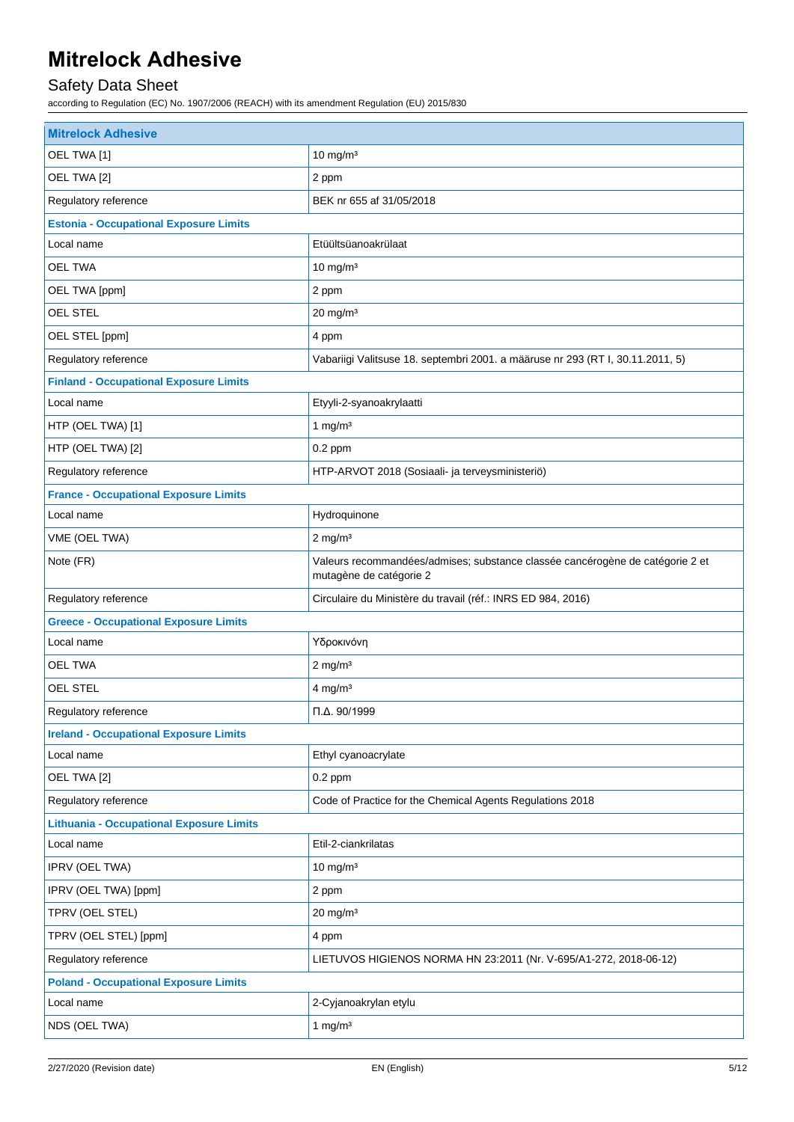## Safety Data Sheet

according to Regulation (EC) No. 1907/2006 (REACH) with its amendment Regulation (EU) 2015/830

| <b>Mitrelock Adhesive</b>                       |                                                                                                          |  |
|-------------------------------------------------|----------------------------------------------------------------------------------------------------------|--|
| OEL TWA [1]                                     | $10 \text{ mg/m}^3$                                                                                      |  |
| OEL TWA [2]                                     | 2 ppm                                                                                                    |  |
| Regulatory reference                            | BEK nr 655 af 31/05/2018                                                                                 |  |
| <b>Estonia - Occupational Exposure Limits</b>   |                                                                                                          |  |
| Local name                                      | Etüültsüanoakrülaat                                                                                      |  |
| <b>OEL TWA</b>                                  | $10 \text{ mg/m}^3$                                                                                      |  |
| OEL TWA [ppm]                                   | 2 ppm                                                                                                    |  |
| OEL STEL                                        | $20$ mg/m $3$                                                                                            |  |
| OEL STEL [ppm]                                  | 4 ppm                                                                                                    |  |
| Regulatory reference                            | Vabariigi Valitsuse 18. septembri 2001. a määruse nr 293 (RT I, 30.11.2011, 5)                           |  |
| <b>Finland - Occupational Exposure Limits</b>   |                                                                                                          |  |
| Local name                                      | Etyyli-2-syanoakrylaatti                                                                                 |  |
| HTP (OEL TWA) [1]                               | 1 mg/ $m3$                                                                                               |  |
| HTP (OEL TWA) [2]                               | $0.2$ ppm                                                                                                |  |
| Regulatory reference                            | HTP-ARVOT 2018 (Sosiaali- ja terveysministeriö)                                                          |  |
| <b>France - Occupational Exposure Limits</b>    |                                                                                                          |  |
| Local name                                      | Hydroquinone                                                                                             |  |
| VME (OEL TWA)                                   | $2$ mg/m <sup>3</sup>                                                                                    |  |
| Note (FR)                                       | Valeurs recommandées/admises; substance classée cancérogène de catégorie 2 et<br>mutagène de catégorie 2 |  |
| Regulatory reference                            | Circulaire du Ministère du travail (réf.: INRS ED 984, 2016)                                             |  |
| <b>Greece - Occupational Exposure Limits</b>    |                                                                                                          |  |
| Local name                                      | Υδροκινόνη                                                                                               |  |
| <b>OEL TWA</b>                                  | $2$ mg/m <sup>3</sup>                                                                                    |  |
| OEL STEL                                        | $4$ mg/m <sup>3</sup>                                                                                    |  |
| Regulatory reference                            | $\Pi$ . $\Delta$ . 90/1999                                                                               |  |
| <b>Ireland - Occupational Exposure Limits</b>   |                                                                                                          |  |
| Local name                                      | Ethyl cyanoacrylate                                                                                      |  |
| OEL TWA [2]                                     | $0.2$ ppm                                                                                                |  |
| Regulatory reference                            | Code of Practice for the Chemical Agents Regulations 2018                                                |  |
| <b>Lithuania - Occupational Exposure Limits</b> |                                                                                                          |  |
| Local name                                      | Etil-2-ciankrilatas                                                                                      |  |
| IPRV (OEL TWA)                                  | $10 \text{ mg/m}^3$                                                                                      |  |
| IPRV (OEL TWA) [ppm]                            | 2 ppm                                                                                                    |  |
| TPRV (OEL STEL)                                 | $20$ mg/m $3$                                                                                            |  |
| TPRV (OEL STEL) [ppm]                           | 4 ppm                                                                                                    |  |
| Regulatory reference                            | LIETUVOS HIGIENOS NORMA HN 23:2011 (Nr. V-695/A1-272, 2018-06-12)                                        |  |
| <b>Poland - Occupational Exposure Limits</b>    |                                                                                                          |  |
| Local name                                      | 2-Cyjanoakrylan etylu                                                                                    |  |
| NDS (OEL TWA)                                   | 1 mg/ $m3$                                                                                               |  |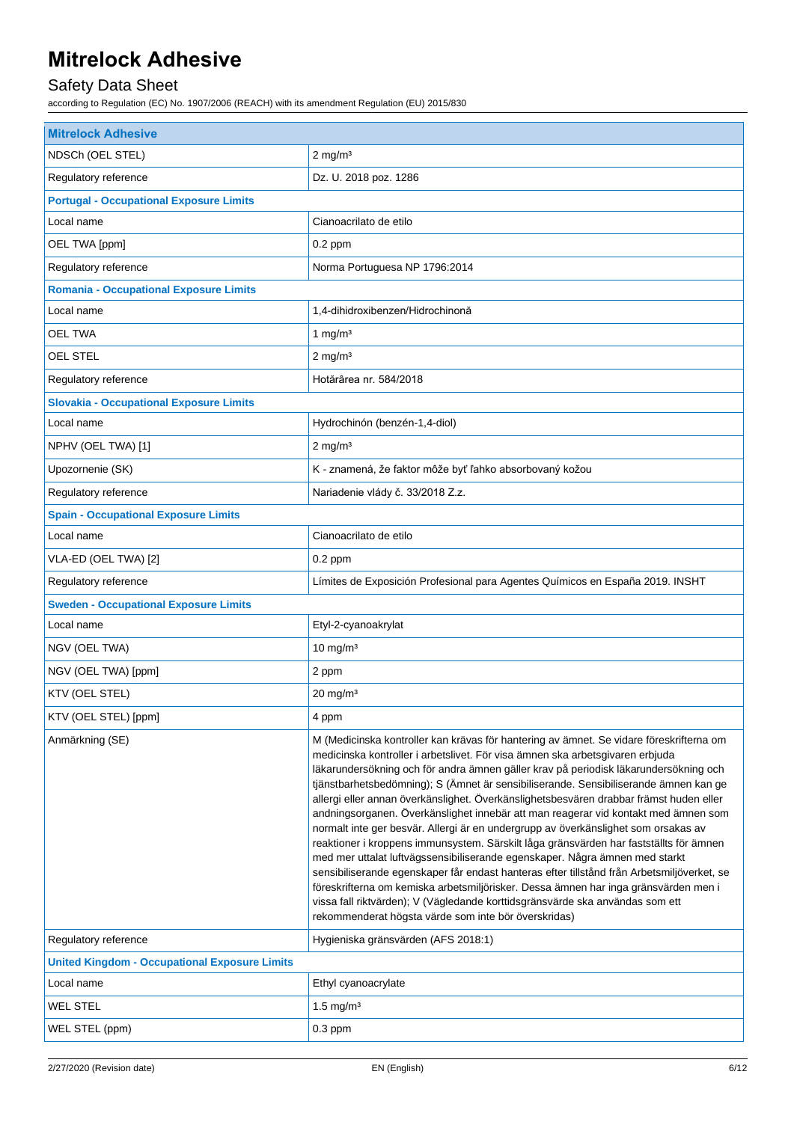## Safety Data Sheet

according to Regulation (EC) No. 1907/2006 (REACH) with its amendment Regulation (EU) 2015/830

| <b>Mitrelock Adhesive</b>                            |                                                                                                                                                                                                                                                                                                                                                                                                                                                                                                                                                                                                                                                                                                                                                                                                                                                                                                                                                                                                                                                                                                                                       |  |  |
|------------------------------------------------------|---------------------------------------------------------------------------------------------------------------------------------------------------------------------------------------------------------------------------------------------------------------------------------------------------------------------------------------------------------------------------------------------------------------------------------------------------------------------------------------------------------------------------------------------------------------------------------------------------------------------------------------------------------------------------------------------------------------------------------------------------------------------------------------------------------------------------------------------------------------------------------------------------------------------------------------------------------------------------------------------------------------------------------------------------------------------------------------------------------------------------------------|--|--|
| NDSCh (OEL STEL)                                     | $2 \text{ mg/m}^3$                                                                                                                                                                                                                                                                                                                                                                                                                                                                                                                                                                                                                                                                                                                                                                                                                                                                                                                                                                                                                                                                                                                    |  |  |
| Regulatory reference                                 | Dz. U. 2018 poz. 1286                                                                                                                                                                                                                                                                                                                                                                                                                                                                                                                                                                                                                                                                                                                                                                                                                                                                                                                                                                                                                                                                                                                 |  |  |
| <b>Portugal - Occupational Exposure Limits</b>       |                                                                                                                                                                                                                                                                                                                                                                                                                                                                                                                                                                                                                                                                                                                                                                                                                                                                                                                                                                                                                                                                                                                                       |  |  |
| Local name                                           | Cianoacrilato de etilo                                                                                                                                                                                                                                                                                                                                                                                                                                                                                                                                                                                                                                                                                                                                                                                                                                                                                                                                                                                                                                                                                                                |  |  |
| OEL TWA [ppm]                                        | $0.2$ ppm                                                                                                                                                                                                                                                                                                                                                                                                                                                                                                                                                                                                                                                                                                                                                                                                                                                                                                                                                                                                                                                                                                                             |  |  |
| Regulatory reference                                 | Norma Portuguesa NP 1796:2014                                                                                                                                                                                                                                                                                                                                                                                                                                                                                                                                                                                                                                                                                                                                                                                                                                                                                                                                                                                                                                                                                                         |  |  |
| <b>Romania - Occupational Exposure Limits</b>        |                                                                                                                                                                                                                                                                                                                                                                                                                                                                                                                                                                                                                                                                                                                                                                                                                                                                                                                                                                                                                                                                                                                                       |  |  |
| Local name                                           | 1,4-dihidroxibenzen/Hidrochinonă                                                                                                                                                                                                                                                                                                                                                                                                                                                                                                                                                                                                                                                                                                                                                                                                                                                                                                                                                                                                                                                                                                      |  |  |
| <b>OEL TWA</b>                                       | 1 mg/ $m3$                                                                                                                                                                                                                                                                                                                                                                                                                                                                                                                                                                                                                                                                                                                                                                                                                                                                                                                                                                                                                                                                                                                            |  |  |
| <b>OEL STEL</b>                                      | $2$ mg/m <sup>3</sup>                                                                                                                                                                                                                                                                                                                                                                                                                                                                                                                                                                                                                                                                                                                                                                                                                                                                                                                                                                                                                                                                                                                 |  |  |
| Regulatory reference                                 | Hotărârea nr. 584/2018                                                                                                                                                                                                                                                                                                                                                                                                                                                                                                                                                                                                                                                                                                                                                                                                                                                                                                                                                                                                                                                                                                                |  |  |
| <b>Slovakia - Occupational Exposure Limits</b>       |                                                                                                                                                                                                                                                                                                                                                                                                                                                                                                                                                                                                                                                                                                                                                                                                                                                                                                                                                                                                                                                                                                                                       |  |  |
| Local name                                           | Hydrochinón (benzén-1,4-diol)                                                                                                                                                                                                                                                                                                                                                                                                                                                                                                                                                                                                                                                                                                                                                                                                                                                                                                                                                                                                                                                                                                         |  |  |
| NPHV (OEL TWA) [1]                                   | $2 \text{ mg/m}^3$                                                                                                                                                                                                                                                                                                                                                                                                                                                                                                                                                                                                                                                                                                                                                                                                                                                                                                                                                                                                                                                                                                                    |  |  |
| Upozornenie (SK)                                     | K - znamená, že faktor môže byť ľahko absorbovaný kožou                                                                                                                                                                                                                                                                                                                                                                                                                                                                                                                                                                                                                                                                                                                                                                                                                                                                                                                                                                                                                                                                               |  |  |
| Regulatory reference                                 | Nariadenie vlády č. 33/2018 Z.z.                                                                                                                                                                                                                                                                                                                                                                                                                                                                                                                                                                                                                                                                                                                                                                                                                                                                                                                                                                                                                                                                                                      |  |  |
| <b>Spain - Occupational Exposure Limits</b>          |                                                                                                                                                                                                                                                                                                                                                                                                                                                                                                                                                                                                                                                                                                                                                                                                                                                                                                                                                                                                                                                                                                                                       |  |  |
| Local name                                           | Cianoacrilato de etilo                                                                                                                                                                                                                                                                                                                                                                                                                                                                                                                                                                                                                                                                                                                                                                                                                                                                                                                                                                                                                                                                                                                |  |  |
| VLA-ED (OEL TWA) [2]                                 | $0.2$ ppm                                                                                                                                                                                                                                                                                                                                                                                                                                                                                                                                                                                                                                                                                                                                                                                                                                                                                                                                                                                                                                                                                                                             |  |  |
| Regulatory reference                                 | Límites de Exposición Profesional para Agentes Químicos en España 2019. INSHT                                                                                                                                                                                                                                                                                                                                                                                                                                                                                                                                                                                                                                                                                                                                                                                                                                                                                                                                                                                                                                                         |  |  |
| <b>Sweden - Occupational Exposure Limits</b>         |                                                                                                                                                                                                                                                                                                                                                                                                                                                                                                                                                                                                                                                                                                                                                                                                                                                                                                                                                                                                                                                                                                                                       |  |  |
| Local name                                           | Etyl-2-cyanoakrylat                                                                                                                                                                                                                                                                                                                                                                                                                                                                                                                                                                                                                                                                                                                                                                                                                                                                                                                                                                                                                                                                                                                   |  |  |
| NGV (OEL TWA)                                        | $10$ mg/m <sup>3</sup>                                                                                                                                                                                                                                                                                                                                                                                                                                                                                                                                                                                                                                                                                                                                                                                                                                                                                                                                                                                                                                                                                                                |  |  |
| NGV (OEL TWA) [ppm]                                  | 2 ppm                                                                                                                                                                                                                                                                                                                                                                                                                                                                                                                                                                                                                                                                                                                                                                                                                                                                                                                                                                                                                                                                                                                                 |  |  |
| KTV (OEL STEL)                                       | $20$ mg/m <sup>3</sup>                                                                                                                                                                                                                                                                                                                                                                                                                                                                                                                                                                                                                                                                                                                                                                                                                                                                                                                                                                                                                                                                                                                |  |  |
| KTV (OEL STEL) [ppm]                                 | 4 ppm                                                                                                                                                                                                                                                                                                                                                                                                                                                                                                                                                                                                                                                                                                                                                                                                                                                                                                                                                                                                                                                                                                                                 |  |  |
| Anmärkning (SE)                                      | M (Medicinska kontroller kan krävas för hantering av ämnet. Se vidare föreskrifterna om<br>medicinska kontroller i arbetslivet. För visa ämnen ska arbetsgivaren erbjuda<br>läkarundersökning och för andra ämnen gäller krav på periodisk läkarundersökning och<br>tjänstbarhetsbedömning); S (Ämnet är sensibiliserande. Sensibiliserande ämnen kan ge<br>allergi eller annan överkänslighet. Överkänslighetsbesvären drabbar främst huden eller<br>andningsorganen. Överkänslighet innebär att man reagerar vid kontakt med ämnen som<br>normalt inte ger besvär. Allergi är en undergrupp av överkänslighet som orsakas av<br>reaktioner i kroppens immunsystem. Särskilt låga gränsvärden har fastställts för ämnen<br>med mer uttalat luftvägssensibiliserande egenskaper. Några ämnen med starkt<br>sensibiliserande egenskaper får endast hanteras efter tillstånd från Arbetsmiljöverket, se<br>föreskrifterna om kemiska arbetsmiljörisker. Dessa ämnen har inga gränsvärden men i<br>vissa fall riktvärden); V (Vägledande korttidsgränsvärde ska användas som ett<br>rekommenderat högsta värde som inte bör överskridas) |  |  |
| Regulatory reference                                 | Hygieniska gränsvärden (AFS 2018:1)                                                                                                                                                                                                                                                                                                                                                                                                                                                                                                                                                                                                                                                                                                                                                                                                                                                                                                                                                                                                                                                                                                   |  |  |
| <b>United Kingdom - Occupational Exposure Limits</b> |                                                                                                                                                                                                                                                                                                                                                                                                                                                                                                                                                                                                                                                                                                                                                                                                                                                                                                                                                                                                                                                                                                                                       |  |  |
| Local name                                           | Ethyl cyanoacrylate                                                                                                                                                                                                                                                                                                                                                                                                                                                                                                                                                                                                                                                                                                                                                                                                                                                                                                                                                                                                                                                                                                                   |  |  |
| <b>WEL STEL</b>                                      | 1.5 mg/ $m3$                                                                                                                                                                                                                                                                                                                                                                                                                                                                                                                                                                                                                                                                                                                                                                                                                                                                                                                                                                                                                                                                                                                          |  |  |
| WEL STEL (ppm)                                       | $0.3$ ppm                                                                                                                                                                                                                                                                                                                                                                                                                                                                                                                                                                                                                                                                                                                                                                                                                                                                                                                                                                                                                                                                                                                             |  |  |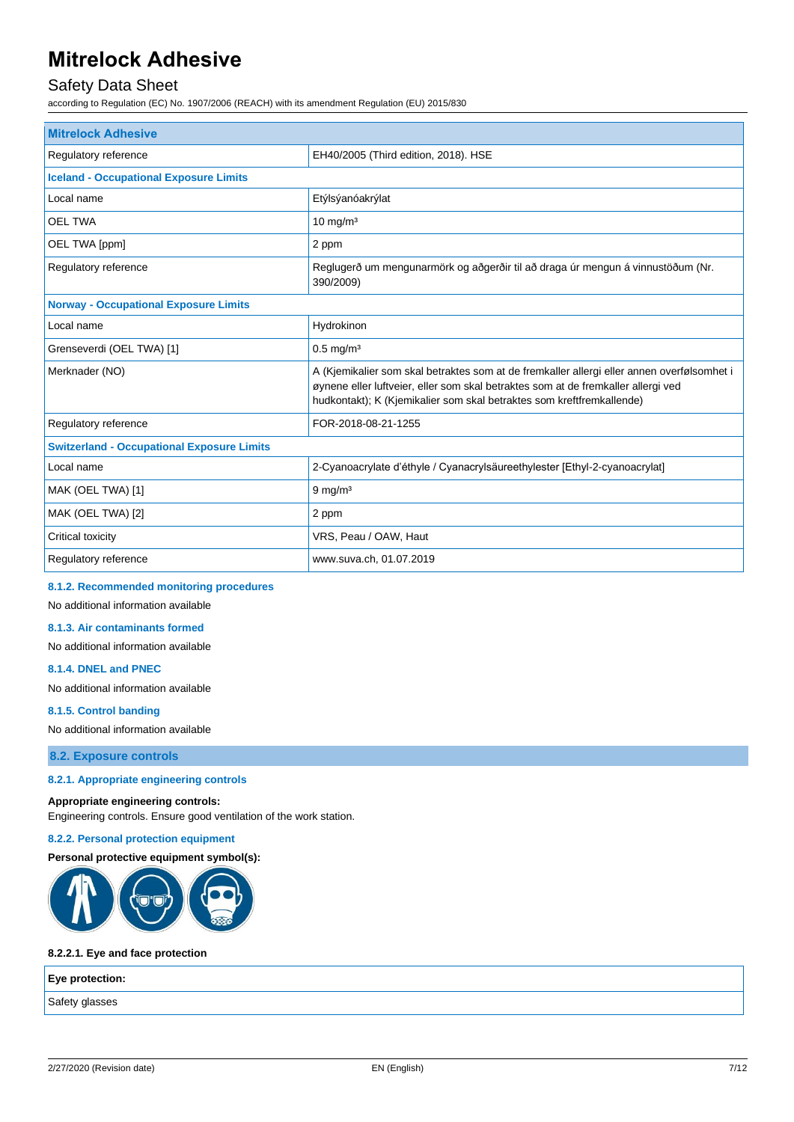## Safety Data Sheet

according to Regulation (EC) No. 1907/2006 (REACH) with its amendment Regulation (EU) 2015/830

| <b>Mitrelock Adhesive</b>                         |                                                                                                                                                                                                                                                          |  |
|---------------------------------------------------|----------------------------------------------------------------------------------------------------------------------------------------------------------------------------------------------------------------------------------------------------------|--|
| Regulatory reference                              | EH40/2005 (Third edition, 2018). HSE                                                                                                                                                                                                                     |  |
| <b>Iceland - Occupational Exposure Limits</b>     |                                                                                                                                                                                                                                                          |  |
| Local name                                        | Etýlsýanóakrýlat                                                                                                                                                                                                                                         |  |
| <b>OEL TWA</b>                                    | $10$ mg/m <sup>3</sup>                                                                                                                                                                                                                                   |  |
| OEL TWA [ppm]                                     | 2 ppm                                                                                                                                                                                                                                                    |  |
| Regulatory reference                              | Reglugerð um mengunarmörk og aðgerðir til að draga úr mengun á vinnustöðum (Nr.<br>390/2009)                                                                                                                                                             |  |
| <b>Norway - Occupational Exposure Limits</b>      |                                                                                                                                                                                                                                                          |  |
| Local name                                        | Hydrokinon                                                                                                                                                                                                                                               |  |
| Grenseverdi (OEL TWA) [1]                         | $0.5$ mg/m <sup>3</sup>                                                                                                                                                                                                                                  |  |
| Merknader (NO)                                    | A (Kjemikalier som skal betraktes som at de fremkaller allergi eller annen overfølsomhet i<br>øynene eller luftveier, eller som skal betraktes som at de fremkaller allergi ved<br>hudkontakt); K (Kjemikalier som skal betraktes som kreftfremkallende) |  |
| Regulatory reference                              | FOR-2018-08-21-1255                                                                                                                                                                                                                                      |  |
| <b>Switzerland - Occupational Exposure Limits</b> |                                                                                                                                                                                                                                                          |  |
| Local name                                        | 2-Cyanoacrylate d'éthyle / Cyanacrylsäureethylester [Ethyl-2-cyanoacrylat]                                                                                                                                                                               |  |
| MAK (OEL TWA) [1]                                 | $9$ mg/m <sup>3</sup>                                                                                                                                                                                                                                    |  |
| MAK (OEL TWA) [2]                                 | 2 ppm                                                                                                                                                                                                                                                    |  |
| Critical toxicity                                 | VRS, Peau / OAW, Haut                                                                                                                                                                                                                                    |  |
| Regulatory reference                              | www.suva.ch, 01.07.2019                                                                                                                                                                                                                                  |  |

#### **8.1.2. Recommended monitoring procedures**

## No additional information available

**8.1.3. Air contaminants formed**

No additional information available

#### **8.1.4. DNEL and PNEC**

No additional information available

#### **8.1.5. Control banding**

No additional information available

**8.2. Exposure controls**

#### **8.2.1. Appropriate engineering controls**

#### **Appropriate engineering controls:**

Engineering controls. Ensure good ventilation of the work station.

#### **8.2.2. Personal protection equipment**

#### **Personal protective equipment symbol(s):**



#### **8.2.2.1. Eye and face protection**

| Eye protection: |  |
|-----------------|--|
| Safety glasses  |  |
|                 |  |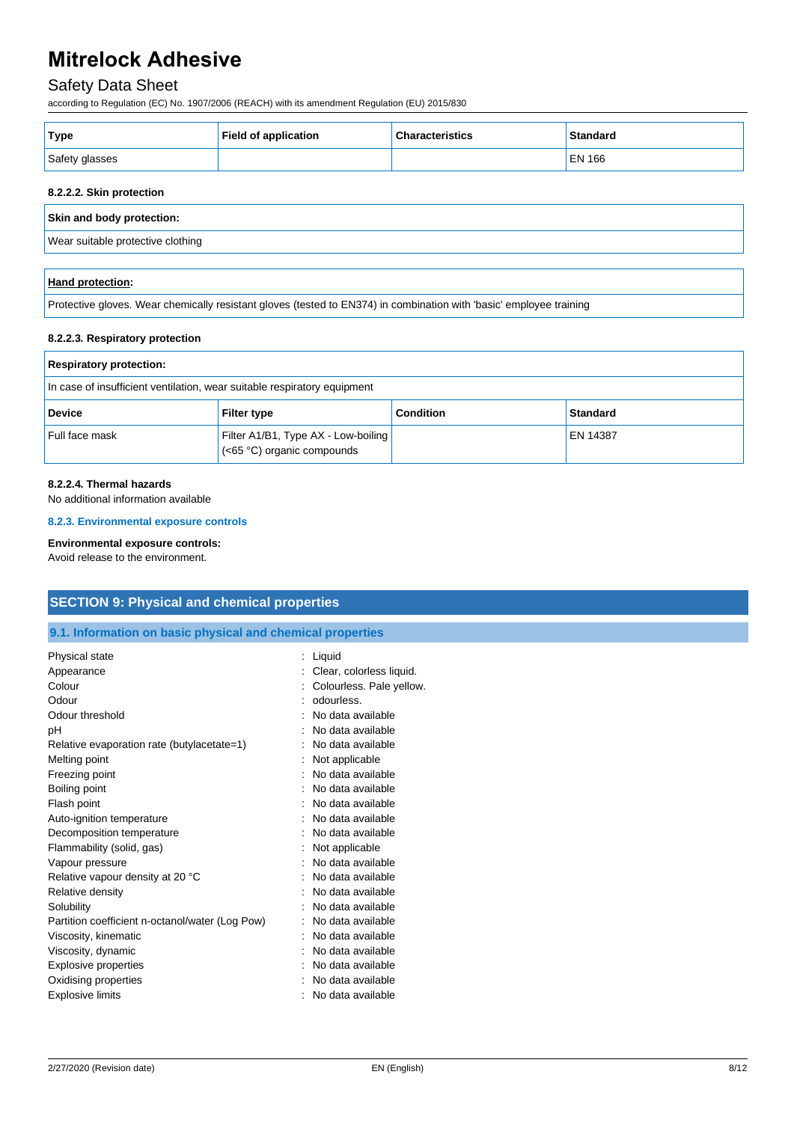### Safety Data Sheet

according to Regulation (EC) No. 1907/2006 (REACH) with its amendment Regulation (EU) 2015/830

| Type           | <b>Field of application</b> | <b>Characteristics</b> | <b>Standard</b> |
|----------------|-----------------------------|------------------------|-----------------|
| Safety glasses |                             |                        | EN 166          |

#### **8.2.2.2. Skin protection**

**Skin and body protection:**

Wear suitable protective clothing

#### **Hand protection:**

Protective gloves. Wear chemically resistant gloves (tested to EN374) in combination with 'basic' employee training

#### **8.2.2.3. Respiratory protection**

| <b>Respiratory protection:</b>                                           |                                                                   |                  |                 |
|--------------------------------------------------------------------------|-------------------------------------------------------------------|------------------|-----------------|
| In case of insufficient ventilation, wear suitable respiratory equipment |                                                                   |                  |                 |
| <b>Device</b>                                                            | <b>Filter type</b>                                                | <b>Condition</b> | <b>Standard</b> |
| Full face mask                                                           | Filter A1/B1, Type AX - Low-boiling<br>(<65 °C) organic compounds |                  | <b>EN 14387</b> |

#### **8.2.2.4. Thermal hazards**

No additional information available

**8.2.3. Environmental exposure controls**

#### **Environmental exposure controls:**

Avoid release to the environment.

#### **SECTION 9: Physical and chemical properties**

#### **9.1. Information on basic physical and chemical properties**

| Physical state                                  | Liquid                   |
|-------------------------------------------------|--------------------------|
| Appearance                                      | Clear, colorless liquid. |
| Colour                                          | Colourless. Pale yellow. |
| Odour                                           | odourless.               |
| Odour threshold                                 | No data available        |
| рH                                              | No data available        |
| Relative evaporation rate (butylacetate=1)      | No data available        |
| Melting point                                   | Not applicable           |
| Freezing point                                  | No data available        |
| Boiling point                                   | No data available        |
| Flash point                                     | No data available        |
| Auto-ignition temperature                       | No data available        |
| Decomposition temperature                       | No data available        |
| Flammability (solid, gas)                       | Not applicable           |
| Vapour pressure                                 | No data available        |
| Relative vapour density at 20 °C                | No data available        |
| Relative density                                | No data available        |
| Solubility                                      | No data available        |
| Partition coefficient n-octanol/water (Log Pow) | No data available        |
| Viscosity, kinematic                            | No data available        |
| Viscosity, dynamic                              | No data available        |
| Explosive properties                            | No data available        |
| Oxidising properties                            | No data available        |
| <b>Explosive limits</b>                         | No data available        |
|                                                 |                          |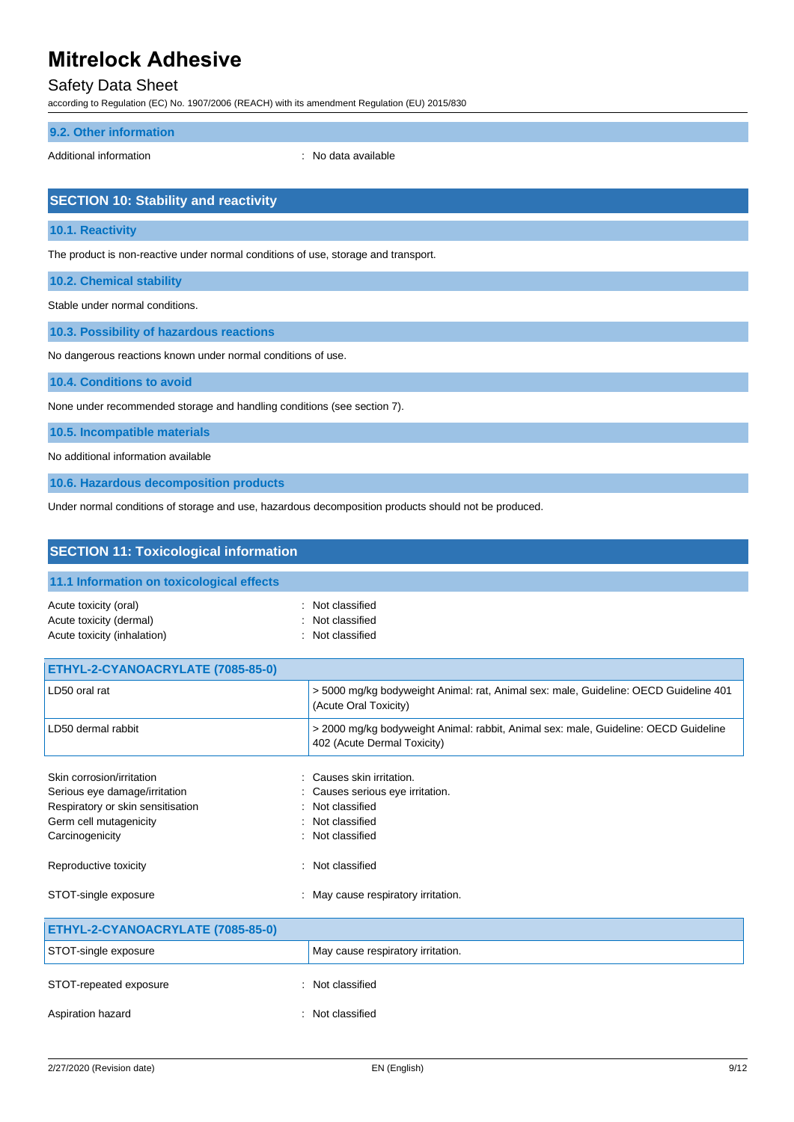## Safety Data Sheet

according to Regulation (EC) No. 1907/2006 (REACH) with its amendment Regulation (EU) 2015/830

#### **9.2. Other information**

Additional information **interest in the contract of the Contract Additional information**  $\cdot$  No data available

## **SECTION 10: Stability and reactivity**

**10.1. Reactivity**

The product is non-reactive under normal conditions of use, storage and transport.

**10.2. Chemical stability**

Stable under normal conditions.

**10.3. Possibility of hazardous reactions**

No dangerous reactions known under normal conditions of use.

**10.4. Conditions to avoid**

None under recommended storage and handling conditions (see section 7).

**10.5. Incompatible materials**

No additional information available

**10.6. Hazardous decomposition products**

Under normal conditions of storage and use, hazardous decomposition products should not be produced.

| <b>SECTION 11: Toxicological information</b>                                                                                                                          |                                                                                                                                       |
|-----------------------------------------------------------------------------------------------------------------------------------------------------------------------|---------------------------------------------------------------------------------------------------------------------------------------|
| 11.1 Information on toxicological effects                                                                                                                             |                                                                                                                                       |
| Acute toxicity (oral)<br>Acute toxicity (dermal)<br>Acute toxicity (inhalation)                                                                                       | Not classified<br>Not classified<br>: Not classified                                                                                  |
| ETHYL-2-CYANOACRYLATE (7085-85-0)                                                                                                                                     |                                                                                                                                       |
| LD50 oral rat                                                                                                                                                         | > 5000 mg/kg bodyweight Animal: rat, Animal sex: male, Guideline: OECD Guideline 401<br>(Acute Oral Toxicity)                         |
| LD50 dermal rabbit                                                                                                                                                    | > 2000 mg/kg bodyweight Animal: rabbit, Animal sex: male, Guideline: OECD Guideline<br>402 (Acute Dermal Toxicity)                    |
| Skin corrosion/irritation<br>Serious eye damage/irritation<br>Respiratory or skin sensitisation<br>Germ cell mutagenicity<br>Carcinogenicity<br>Reproductive toxicity | Causes skin irritation.<br>Causes serious eye irritation.<br>Not classified<br>Not classified<br>: Not classified<br>: Not classified |
| STOT-single exposure                                                                                                                                                  | : May cause respiratory irritation.                                                                                                   |
| ETHYL-2-CYANOACRYLATE (7085-85-0)                                                                                                                                     |                                                                                                                                       |
| STOT-single exposure                                                                                                                                                  | May cause respiratory irritation.                                                                                                     |
| STOT-repeated exposure                                                                                                                                                | : Not classified                                                                                                                      |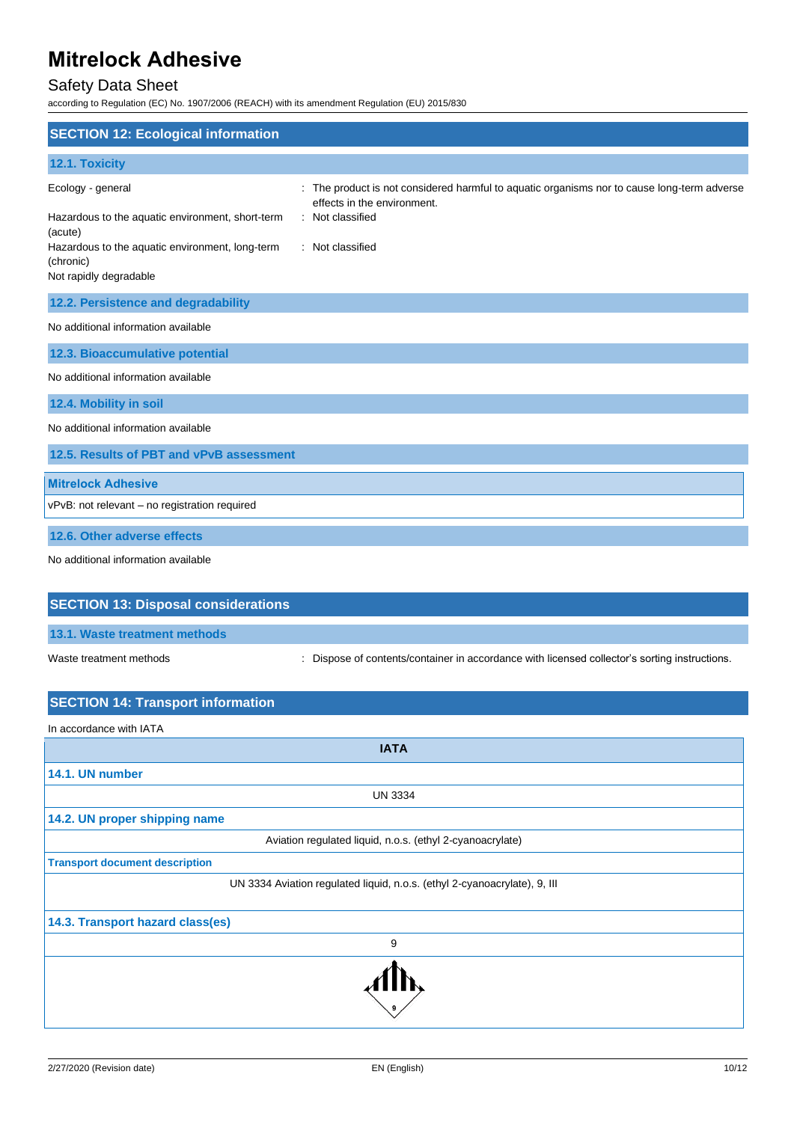## Safety Data Sheet

according to Regulation (EC) No. 1907/2006 (REACH) with its amendment Regulation (EU) 2015/830

| <b>SECTION 12: Ecological information</b>                                              |                                                                                             |  |
|----------------------------------------------------------------------------------------|---------------------------------------------------------------------------------------------|--|
| 12.1. Toxicity                                                                         |                                                                                             |  |
| Ecology - general                                                                      | : The product is not considered harmful to aquatic organisms nor to cause long-term adverse |  |
| Hazardous to the aquatic environment, short-term<br>(acute)                            | effects in the environment.<br>: Not classified                                             |  |
| Hazardous to the aquatic environment, long-term<br>(chronic)<br>Not rapidly degradable | : Not classified                                                                            |  |
| 12.2. Persistence and degradability                                                    |                                                                                             |  |
| No additional information available                                                    |                                                                                             |  |
| 12.3. Bioaccumulative potential                                                        |                                                                                             |  |
| No additional information available                                                    |                                                                                             |  |
| 12.4. Mobility in soil                                                                 |                                                                                             |  |
| No additional information available                                                    |                                                                                             |  |
| 12.5. Results of PBT and vPvB assessment                                               |                                                                                             |  |
| <b>Mitrelock Adhesive</b>                                                              |                                                                                             |  |
| vPvB: not relevant - no registration required                                          |                                                                                             |  |
| 12.6. Other adverse effects                                                            |                                                                                             |  |
| No additional information available                                                    |                                                                                             |  |
| <b>SECTION 13: Disposal considerations</b>                                             |                                                                                             |  |
| 13.1. Waste treatment methods                                                          |                                                                                             |  |
| Waste treatment methods                                                                | Dispose of contents/container in accordance with licensed collector's sorting instructions. |  |
| <b>SECTION 14: Transport information</b>                                               |                                                                                             |  |
| In accordance with IATA                                                                |                                                                                             |  |
|                                                                                        | <b>IATA</b>                                                                                 |  |
| 14.1. UN number                                                                        |                                                                                             |  |
|                                                                                        | <b>UN 3334</b>                                                                              |  |
| 14.2. UN proper shipping name                                                          |                                                                                             |  |
| Aviation regulated liquid, n.o.s. (ethyl 2-cyanoacrylate)                              |                                                                                             |  |
| <b>Transport document description</b>                                                  | UN 3334 Aviation regulated liquid, n.o.s. (ethyl 2-cyanoacrylate), 9, III                   |  |
|                                                                                        |                                                                                             |  |
| 14.3. Transport hazard class(es)                                                       |                                                                                             |  |
|                                                                                        | 9                                                                                           |  |
|                                                                                        |                                                                                             |  |

9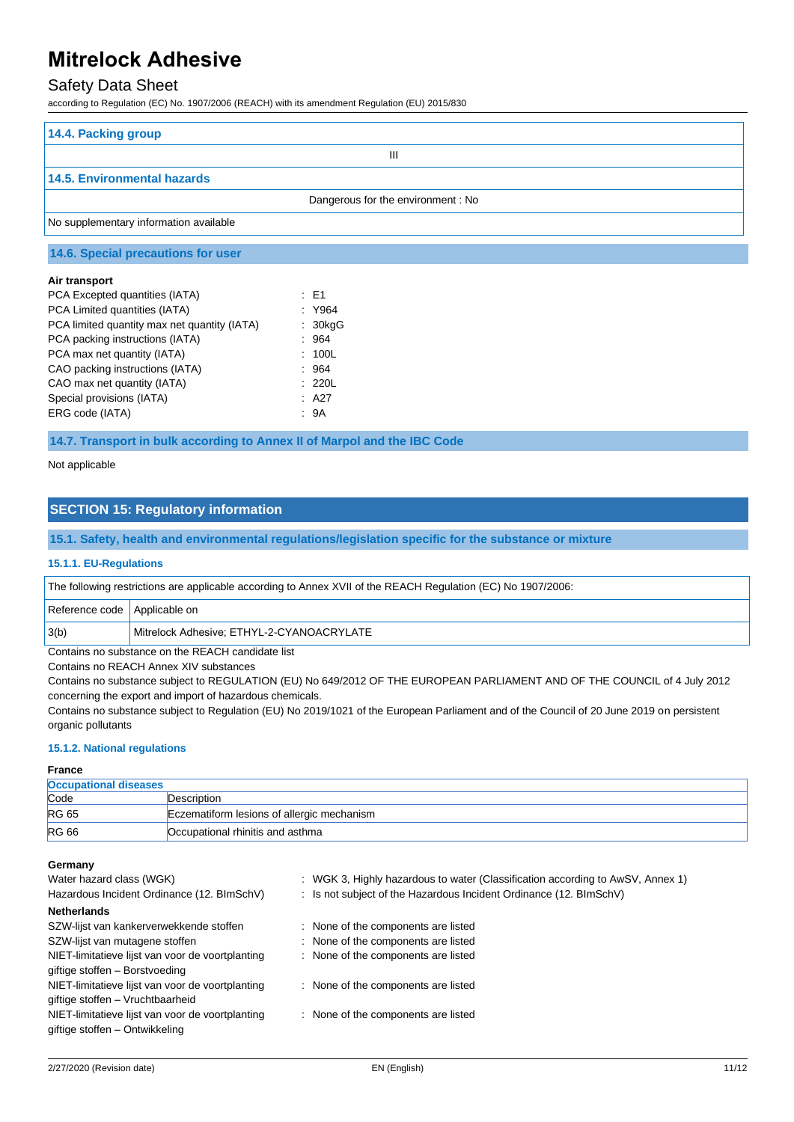### Safety Data Sheet

according to Regulation (EC) No. 1907/2006 (REACH) with its amendment Regulation (EU) 2015/830

| 14.4. Packing group                    |
|----------------------------------------|
| Ш                                      |
| 14.5. Environmental hazards            |
| Dangerous for the environment: No      |
| No supplementary information available |

#### **14.6. Special precautions for user**

#### **Air transport**

| PCA Excepted quantities (IATA)               | : E1    |
|----------------------------------------------|---------|
| PCA Limited quantities (IATA)                | : Y964  |
| PCA limited quantity max net quantity (IATA) | : 30kgG |
| PCA packing instructions (IATA)              | 964     |
| PCA max net quantity (IATA)                  | : 100L  |
| CAO packing instructions (IATA)              | : 964   |
| CAO max net quantity (IATA)                  | : 220L  |
| Special provisions (IATA)                    | : A27   |
| ERG code (IATA)                              | : 9A    |

**14.7. Transport in bulk according to Annex II of Marpol and the IBC Code**

Not applicable

### **SECTION 15: Regulatory information**

#### **15.1. Safety, health and environmental regulations/legislation specific for the substance or mixture**

#### **15.1.1. EU-Regulations**

| The following restrictions are applicable according to Annex XVII of the REACH Regulation (EC) No 1907/2006: |  |  |  |
|--------------------------------------------------------------------------------------------------------------|--|--|--|
|                                                                                                              |  |  |  |

| Reference code   Applicable on                    |                                           |
|---------------------------------------------------|-------------------------------------------|
| 3(b)                                              | Mitrelock Adhesive: ETHYL-2-CYANOACRYLATE |
| Contains no substance on the REACH candidate list |                                           |

Contains no REACH Annex XIV substances

Contains no substance subject to REGULATION (EU) No 649/2012 OF THE EUROPEAN PARLIAMENT AND OF THE COUNCIL of 4 July 2012 concerning the export and import of hazardous chemicals.

Contains no substance subject to Regulation (EU) No 2019/1021 of the European Parliament and of the Council of 20 June 2019 on persistent organic pollutants

#### **15.1.2. National regulations**

#### **France**

| <b>Occupational diseases</b> |                                            |
|------------------------------|--------------------------------------------|
| Code                         | Description                                |
| <b>RG 65</b>                 | Eczematiform lesions of allergic mechanism |
| <b>RG 66</b>                 | Occupational rhinitis and asthma           |

#### **Germany**

| Water hazard class (WGK)                         | : WGK 3, Highly hazardous to water (Classification according to AwSV, Annex 1) |  |
|--------------------------------------------------|--------------------------------------------------------------------------------|--|
| Hazardous Incident Ordinance (12. BImSchV)       | : Is not subject of the Hazardous Incident Ordinance (12. BImSchV)             |  |
| <b>Netherlands</b>                               |                                                                                |  |
| SZW-lijst van kankerverwekkende stoffen          | : None of the components are listed                                            |  |
| SZW-lijst van mutagene stoffen                   | : None of the components are listed                                            |  |
| NIET-limitatieve lijst van voor de voortplanting | : None of the components are listed                                            |  |
| giftige stoffen - Borstvoeding                   |                                                                                |  |
| NIET-limitatieve lijst van voor de voortplanting | : None of the components are listed                                            |  |
| giftige stoffen - Vruchtbaarheid                 |                                                                                |  |
| NIET-limitatieve lijst van voor de voortplanting | : None of the components are listed                                            |  |
| giftige stoffen – Ontwikkeling                   |                                                                                |  |